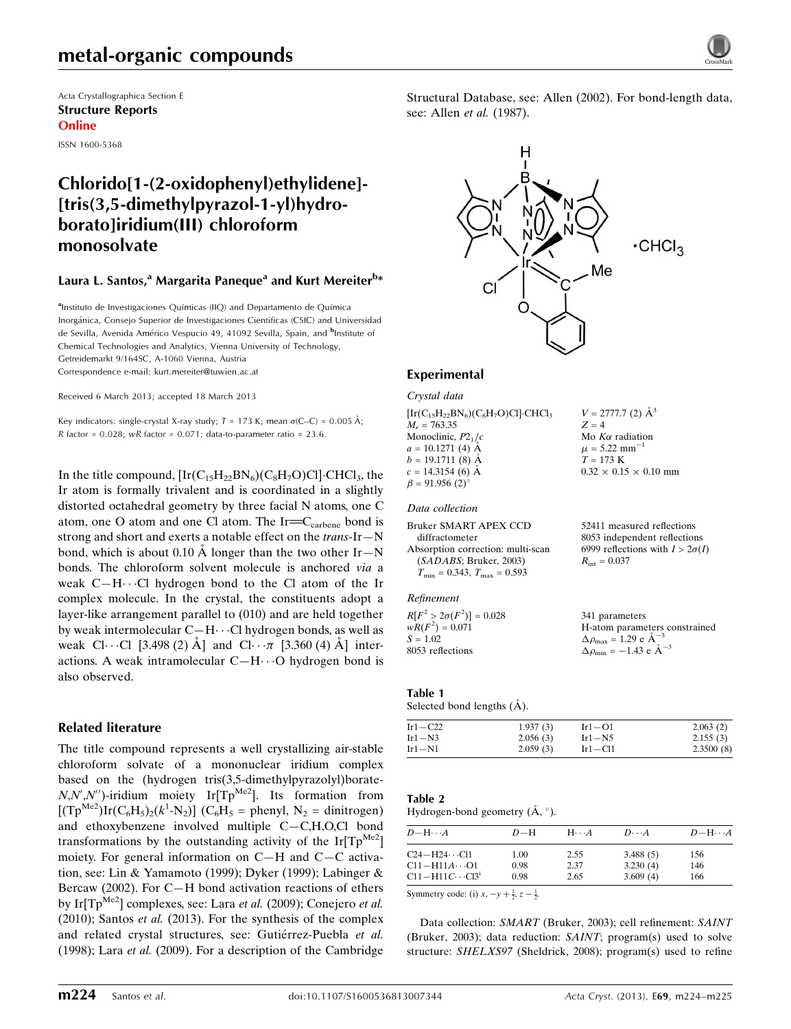## metal-organic compounds

Acta Crystallographica Section E Structure Reports Online

ISSN 1600-5368

## Chlorido[1-(2-oxidophenyl)ethylidene]- [tris(3,5-dimethylpyrazol-1-yl)hydroborato]iridium(III) chloroform monosolvate

### Laura L. Santos,<sup>a</sup> Margarita Paneque<sup>a</sup> and Kurt Mereiter<sup>b</sup>\*

<sup>a</sup>Instituto de Investigaciones Químicas (IIQ) and Departamento de Química Inorgánica, Consejo Superior de Investigaciones Cientificas (CSIC) and Universidad de Sevilla, Avenida Américo Vespucio 49, 41092 Sevilla, Spain, and <sup>b</sup>Institute of Chemical Technologies and Analytics, Vienna University of Technology, Getreidemarkt 9/164SC, A-1060 Vienna, Austria Correspondence e-mail: [kurt.mereiter@tuwien.ac.at](https://scripts.iucr.org/cgi-bin/cr.cgi?rm=pdfbb&cnor=lh5594&bbid=BB14)

Received 6 March 2013; accepted 18 March 2013

Key indicators: single-crystal X-ray study;  $T$  = 173 K; mean  $\sigma$ (C–C) = 0.005 Å; R factor =  $0.028$ ; wR factor =  $0.071$ ; data-to-parameter ratio =  $23.6$ .

In the title compound,  $\left[\text{Ir}(C_{15}H_{22}BN_6)(C_8H_7O)Cl\right]\cdot \text{CHCl}_3$ , the Ir atom is formally trivalent and is coordinated in a slightly distorted octahedral geometry by three facial N atoms, one C atom, one O atom and one Cl atom. The Ir=C<sub>carbene</sub> bond is strong and short and exerts a notable effect on the  $trans-Ir-N$ bond, which is about 0.10 Å longer than the two other  $Ir-N$ bonds. The chloroform solvent molecule is anchored via a weak C-H $\cdots$ Cl hydrogen bond to the Cl atom of the Ir complex molecule. In the crystal, the constituents adopt a layer-like arrangement parallel to (010) and are held together by weak intermolecular C-H $\cdots$ Cl hydrogen bonds, as well as weak Cl···Cl [3.498 (2)  $\AA$ ] and Cl··· $\pi$  [3.360 (4)  $\AA$ ] interactions. A weak intramolecular C-H $\cdots$ O hydrogen bond is also observed.

#### Related literature

The title compound represents a well crystallizing air-stable chloroform solvate of a mononuclear iridium complex based on the (hydrogen tris(3,5-dimethylpyrazolyl)borate- $N, N', N''$ )-iridium moiety Ir[Tp<sup>Me2</sup>]. Its formation from  $[(Tp^{Me2})Ir(C_6H_5)_2(k^1-N_2)]$  (C<sub>6</sub>H<sub>5</sub> = phenyl, N<sub>2</sub> = dinitrogen) and ethoxybenzene involved multiple C—C,H,O,Cl bond transformations by the outstanding activity of the Ir $[Tp^{Me2}]$ moiety. For general information on C—H and C—C activation, see: Lin & Yamamoto (1999); Dyker (1999); Labinger & Bercaw (2002). For C—H bond activation reactions of ethers by Ir[Tp<sup>Me2</sup>] complexes, see: Lara *et al.* (2009); Conejero *et al.* (2010); Santos *et al.* (2013). For the synthesis of the complex and related crystal structures, see: Gutiérrez-Puebla et al. (1998); Lara et al. (2009). For a description of the Cambridge

Structural Database, see: Allen (2002). For bond-length data, see: Allen *et al.* (1987).



 $V = 2777.7$  (2)  $\AA^3$ 

Mo  $K\alpha$  radiation  $\mu = 5.22$  mm<sup>-1</sup>  $T = 173$  K

 $R_{\rm int} = 0.037$ 

 $0.32 \times 0.15 \times 0.10$  mm

52411 measured reflections 8053 independent reflections 6999 reflections with  $I > 2\sigma(I)$ 

 $Z = 4$ 

#### Experimental

Crystal data

 $\left[\text{Ir}(C_{15}H_{22}\text{BN}_6)(C_8H_7\text{O})\text{Cl}\right]\text{CHCl}_3$  $M_r = 763.35$ Monoclinic,  $P2<sub>1</sub>/c$  $a = 10.1271(4)$  Å  $b = 19.1711(8)$  Å  $c = 14.3154(6)$  Å  $\beta = 91.956$  (2)<sup>o</sup>

#### Data collection

Bruker SMART APEX CCD diffractometer Absorption correction: multi-scan (SADABS; Bruker, 2003)  $T_{\text{min}} = 0.343$ ,  $T_{\text{max}} = 0.593$ 

#### Refinement

 $R[F^2 > 2\sigma(F^2)] = 0.028$  $wR(F^2) = 0.071$  $S = 1.02$ 8053 reflections 341 parameters H-atom parameters constrained  $\Delta \rho_{\text{max}} = 1.29 \text{ e A}^{-3}$  $\Delta \rho_{\text{min}} = -1.43 \text{ e } \text{\AA}^{-3}$ 

#### Table 1

Selected bond lengths  $(\AA)$ .

| Ir1 $-C22$ | 1.937(3) | $Ir1 - O1$  | 2.063(2)  |
|------------|----------|-------------|-----------|
| $Ir1-N3$   | 2.056(3) | $Ir1-N5$    | 2.155(3)  |
| $Ir1-N1$   | 2.059(3) | $Ir1 - Cl1$ | 2.3500(8) |

#### Table 2

Hydrogen-bond geometry  $(A, \circ)$ .

| $D - H \cdots A$         | $D=H$ | $H\cdots A$ | $D\cdots A$ | $D - H \cdots A$ |
|--------------------------|-------|-------------|-------------|------------------|
| $C24-H24\cdots C11$      | 1.00  | 2.55        | 3.488(5)    | 156              |
| $C11 - H11A \cdots 01$   | 0.98  | 2.37        | 3.230(4)    | 146              |
| $C11 - H11C \cdots C13i$ | 0.98  | 2.65        | 3.609(4)    | 166              |
|                          |       |             |             |                  |

Symmetry code: (i)  $x, -y + \frac{1}{2}, z - \frac{1}{2}$ .

Data collection: SMART (Bruker, 2003); cell refinement: SAINT (Bruker, 2003); data reduction: SAINT; program(s) used to solve structure: SHELXS97 (Sheldrick, 2008); program(s) used to refine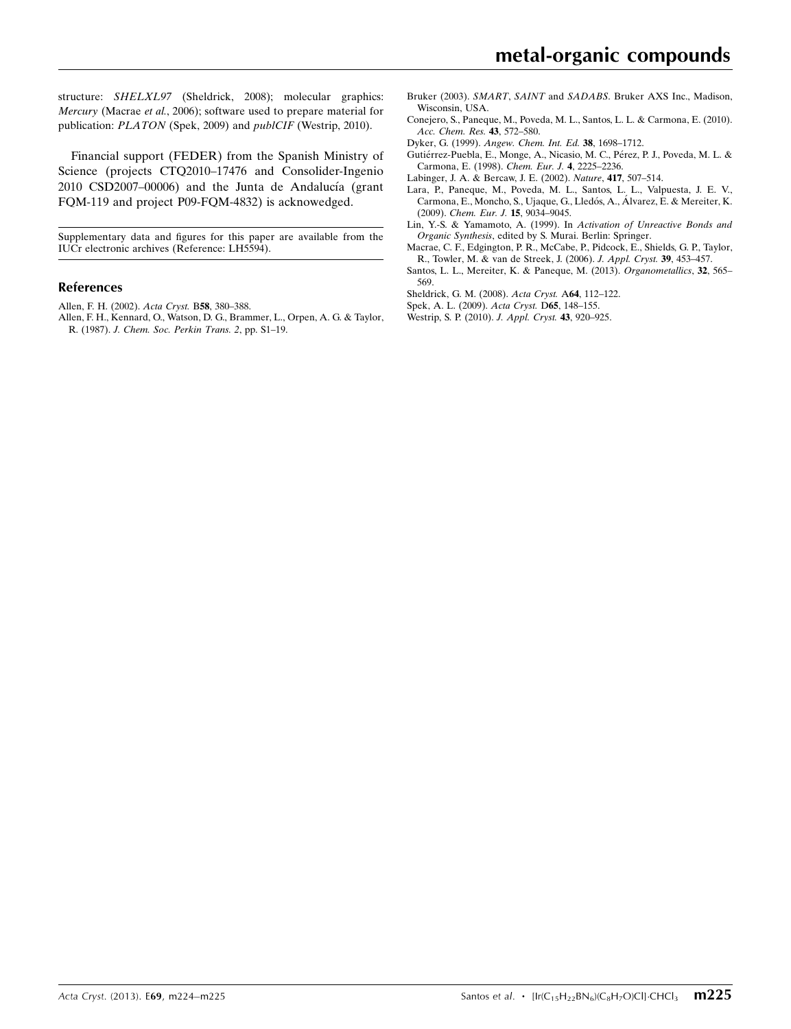structure: SHELXL97 (Sheldrick, 2008); molecular graphics: Mercury (Macrae et al., 2006); software used to prepare material for publication: PLATON (Spek, 2009) and publCIF (Westrip, 2010).

Financial support (FEDER) from the Spanish Ministry of Science (projects CTO2010–17476 and Consolider-Ingenio  $2010$  CSD $2007-00006$ ) and the Junta de Andalucía (grant FQM-119 and project P09-FQM-4832) is acknowedged.

Supplementary data and figures for this paper are available from the IUCr electronic archives (Reference: LH5594).

#### References

[Allen, F. H. \(2002\).](https://scripts.iucr.org/cgi-bin/cr.cgi?rm=pdfbb&cnor=lh5594&bbid=BB1) Acta Cryst. B58, 380–388.

[Allen, F. H., Kennard, O., Watson, D. G., Brammer, L., Orpen, A. G. & Taylor,](https://scripts.iucr.org/cgi-bin/cr.cgi?rm=pdfbb&cnor=lh5594&bbid=BB2) R. (1987). [J. Chem. Soc. Perkin Trans. 2](https://scripts.iucr.org/cgi-bin/cr.cgi?rm=pdfbb&cnor=lh5594&bbid=BB2), pp. S1–19.

- Bruker (2003). SMART, SAINT and SADABS[. Bruker AXS Inc., Madison,](https://scripts.iucr.org/cgi-bin/cr.cgi?rm=pdfbb&cnor=lh5594&bbid=BB3) [Wisconsin, USA.](https://scripts.iucr.org/cgi-bin/cr.cgi?rm=pdfbb&cnor=lh5594&bbid=BB3)
- [Conejero, S., Paneque, M., Poveda, M. L., Santos, L. L. & Carmona, E. \(2010\).](https://scripts.iucr.org/cgi-bin/cr.cgi?rm=pdfbb&cnor=lh5594&bbid=BB4) [Acc. Chem. Res.](https://scripts.iucr.org/cgi-bin/cr.cgi?rm=pdfbb&cnor=lh5594&bbid=BB4) 43, 572–580.
- Dyker, G. (1999). [Angew. Chem. Int. Ed.](https://scripts.iucr.org/cgi-bin/cr.cgi?rm=pdfbb&cnor=lh5594&bbid=BB5) 38, 1698–1712.
- Gutiérrez-Puebla, E., Monge, A., Nicasio, M. C., Pérez, P. J., Poveda, M. L. & [Carmona, E. \(1998\).](https://scripts.iucr.org/cgi-bin/cr.cgi?rm=pdfbb&cnor=lh5594&bbid=BB6) Chem. Eur. J. 4, 2225–2236.
- [Labinger, J. A. & Bercaw, J. E. \(2002\).](https://scripts.iucr.org/cgi-bin/cr.cgi?rm=pdfbb&cnor=lh5594&bbid=BB7) Nature, 417, 507–514.
- [Lara, P., Paneque, M., Poveda, M. L., Santos, L. L., Valpuesta, J. E. V.,](https://scripts.iucr.org/cgi-bin/cr.cgi?rm=pdfbb&cnor=lh5594&bbid=BB8) Carmona, E., Moncho, S., Ujaque, G., Lledós, A., Álvarez, E. & Mereiter, K. (2009). [Chem. Eur. J.](https://scripts.iucr.org/cgi-bin/cr.cgi?rm=pdfbb&cnor=lh5594&bbid=BB8) 15, 9034–9045.
- [Lin, Y.-S. & Yamamoto, A. \(1999\). In](https://scripts.iucr.org/cgi-bin/cr.cgi?rm=pdfbb&cnor=lh5594&bbid=BB9) Activation of Unreactive Bonds and Organic Synthesis[, edited by S. Murai. Berlin: Springer.](https://scripts.iucr.org/cgi-bin/cr.cgi?rm=pdfbb&cnor=lh5594&bbid=BB9)
- [Macrae, C. F., Edgington, P. R., McCabe, P., Pidcock, E., Shields, G. P., Taylor,](https://scripts.iucr.org/cgi-bin/cr.cgi?rm=pdfbb&cnor=lh5594&bbid=BB10) [R., Towler, M. & van de Streek, J. \(2006\).](https://scripts.iucr.org/cgi-bin/cr.cgi?rm=pdfbb&cnor=lh5594&bbid=BB10) J. Appl. Cryst. 39, 453–457.
- [Santos, L. L., Mereiter, K. & Paneque, M. \(2013\).](https://scripts.iucr.org/cgi-bin/cr.cgi?rm=pdfbb&cnor=lh5594&bbid=BB11) Organometallics, 32, 565– [569.](https://scripts.iucr.org/cgi-bin/cr.cgi?rm=pdfbb&cnor=lh5594&bbid=BB11)
- [Sheldrick, G. M. \(2008\).](https://scripts.iucr.org/cgi-bin/cr.cgi?rm=pdfbb&cnor=lh5594&bbid=BB12) Acta Cryst. A64, 112–122.
- [Spek, A. L. \(2009\).](https://scripts.iucr.org/cgi-bin/cr.cgi?rm=pdfbb&cnor=lh5594&bbid=BB13) Acta Cryst. D65, 148–155.
- [Westrip, S. P. \(2010\).](https://scripts.iucr.org/cgi-bin/cr.cgi?rm=pdfbb&cnor=lh5594&bbid=BB14) J. Appl. Cryst. 43, 920–925.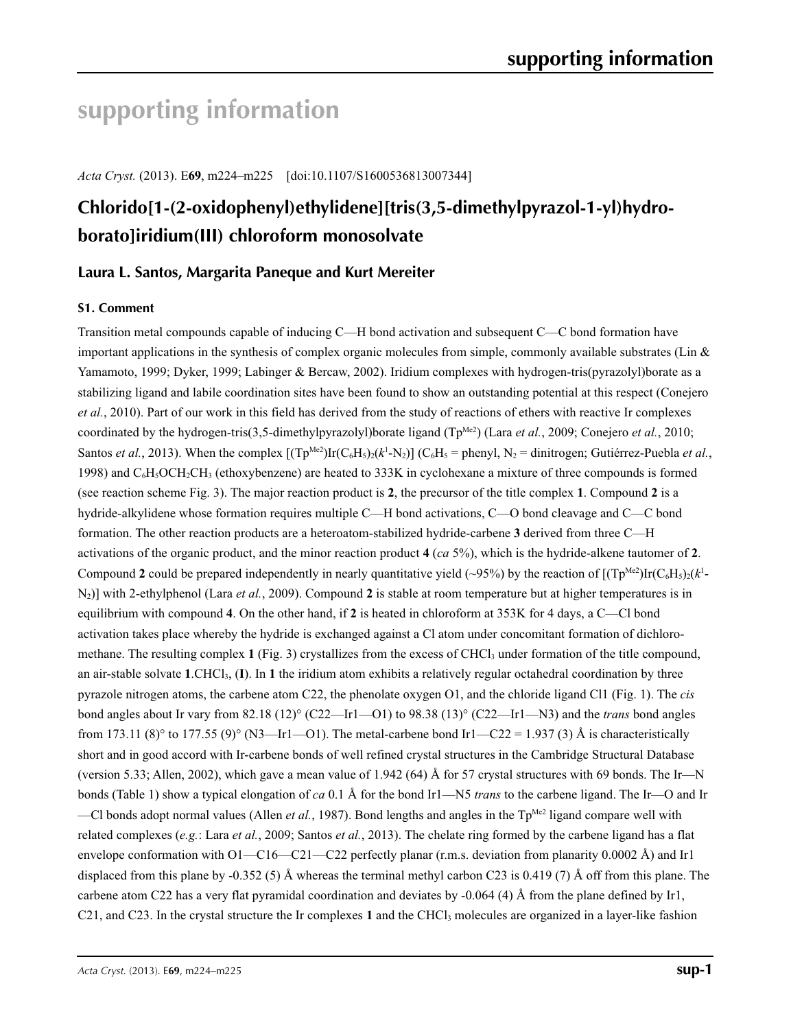# **supporting information**

*Acta Cryst.* (2013). E**69**, m224–m225 [doi:10.1107/S1600536813007344]

# **Chlorido[1-(2-oxidophenyl)ethylidene][tris(3,5-dimethylpyrazol-1-yl)hydroborato]iridium(III) chloroform monosolvate**

## **Laura L. Santos, Margarita Paneque and Kurt Mereiter**

### **S1. Comment**

Transition metal compounds capable of inducing C—H bond activation and subsequent C—C bond formation have important applications in the synthesis of complex organic molecules from simple, commonly available substrates (Lin  $\&$ Yamamoto, 1999; Dyker, 1999; Labinger & Bercaw, 2002). Iridium complexes with hydrogen-tris(pyrazolyl)borate as a stabilizing ligand and labile coordination sites have been found to show an outstanding potential at this respect (Conejero *et al.*, 2010). Part of our work in this field has derived from the study of reactions of ethers with reactive Ir complexes coordinated by the hydrogen-tris(3,5-dimethylpyrazolyl)borate ligand ( $Tp^{Me2}$ ) (Lara *et al.*, 2009; Conejero *et al.*, 2010; Santos *et al.*, 2013). When the complex  $[(Tp^{Me2})Ir(C_6H_5)_2(k^1-N_2)]$  (C<sub>6</sub>H<sub>5</sub> = phenyl, N<sub>2</sub> = dinitrogen; Gutiérrez-Puebla *et al.*, 1998) and  $C_6H_3OCH_2CH_3$  (ethoxybenzene) are heated to 333K in cyclohexane a mixture of three compounds is formed (see reaction scheme Fig. 3). The major reaction product is **2**, the precursor of the title complex **1**. Compound **2** is a hydride-alkylidene whose formation requires multiple C—H bond activations, C—O bond cleavage and C—C bond formation. The other reaction products are a heteroatom-stabilized hydride-carbene **3** derived from three C—H activations of the organic product, and the minor reaction product **4** (*ca* 5%), which is the hydride-alkene tautomer of **2**. Compound 2 could be prepared independently in nearly quantitative yield (~95%) by the reaction of  $[(Tp^{Me2})Ir(C_6H_5)_{2}(k^{1}-1)]$ N2)] with 2-ethylphenol (Lara *et al.*, 2009). Compound **2** is stable at room temperature but at higher temperatures is in equilibrium with compound **4**. On the other hand, if **2** is heated in chloroform at 353K for 4 days, a C—Cl bond activation takes place whereby the hydride is exchanged against a Cl atom under concomitant formation of dichloromethane. The resulting complex  $1$  (Fig. 3) crystallizes from the excess of CHCl<sub>3</sub> under formation of the title compound, an air-stable solvate **1**.CHCl3, (**I**). In **1** the iridium atom exhibits a relatively regular octahedral coordination by three pyrazole nitrogen atoms, the carbene atom C22, the phenolate oxygen O1, and the chloride ligand Cl1 (Fig. 1). The *cis* bond angles about Ir vary from 82.18 (12)° (C22—Ir1—O1) to 98.38 (13)° (C22—Ir1—N3) and the *trans* bond angles from 173.11 (8)° to 177.55 (9)° (N3—Ir1—O1). The metal-carbene bond Ir1—C22 = 1.937 (3) Å is characteristically short and in good accord with Ir-carbene bonds of well refined crystal structures in the Cambridge Structural Database (version 5.33; Allen, 2002), which gave a mean value of 1.942 (64) Å for 57 crystal structures with 69 bonds. The Ir—N bonds (Table 1) show a typical elongation of *ca* 0.1 Å for the bond Ir1—N5 *trans* to the carbene ligand. The Ir—O and Ir —Cl bonds adopt normal values (Allen *et al.*, 1987). Bond lengths and angles in the  $Tp^{Me2}$  ligand compare well with related complexes (*e.g.*: Lara *et al.*, 2009; Santos *et al.*, 2013). The chelate ring formed by the carbene ligand has a flat envelope conformation with O1—C16—C21—C22 perfectly planar (r.m.s. deviation from planarity 0.0002 Å) and Ir1 displaced from this plane by -0.352 (5) Å whereas the terminal methyl carbon C23 is 0.419 (7) Å off from this plane. The carbene atom C22 has a very flat pyramidal coordination and deviates by -0.064 (4) Å from the plane defined by Ir1, C21, and C23. In the crystal structure the Ir complexes 1 and the CHCl<sub>3</sub> molecules are organized in a layer-like fashion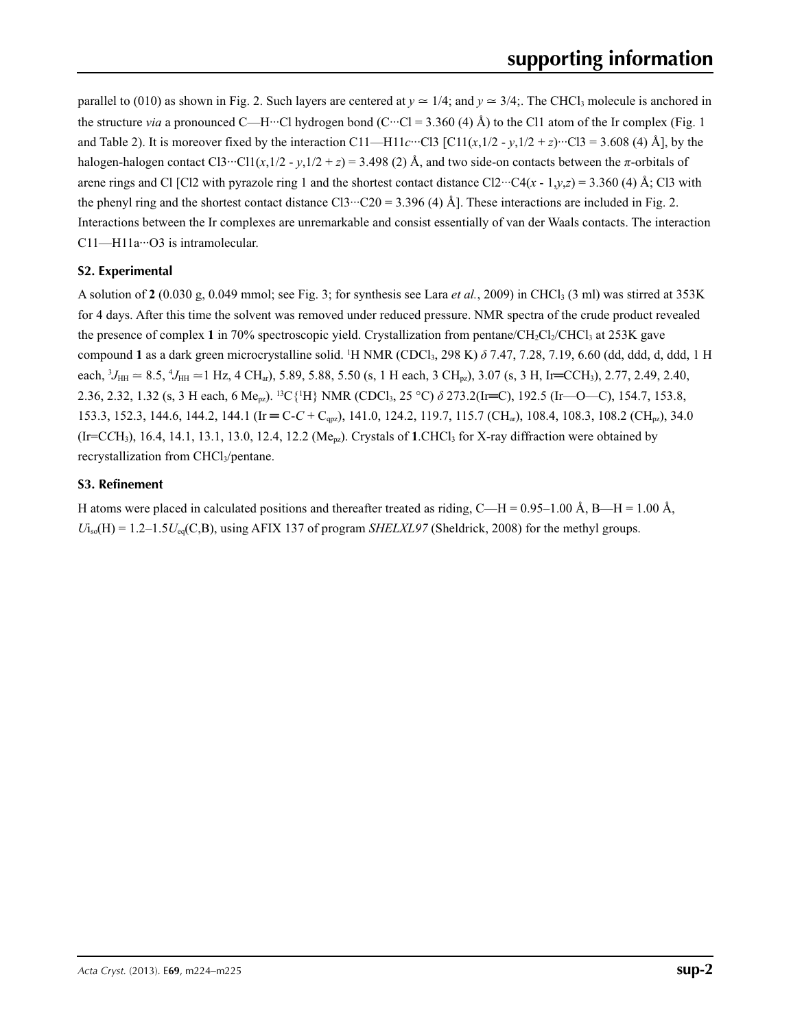parallel to (010) as shown in Fig. 2. Such layers are centered at  $y \approx 1/4$ ; and  $y \approx 3/4$ ;. The CHCl<sub>3</sub> molecule is anchored in the structure *via* a pronounced C—H···Cl hydrogen bond (C···Cl = 3.360 (4) Å) to the Cl1 atom of the Ir complex (Fig. 1 and Table 2). It is moreover fixed by the interaction C11—H11*c*···Cl3 [C11(*x*,1/2 - *y*,1/2 + *z*)···Cl3 = 3.608 (4) Å], by the halogen-halogen contact Cl3···Cl1( $x, 1/2 - y, 1/2 + z$ ) = 3.498 (2) Å, and two side-on contacts between the  $\pi$ -orbitals of arene rings and Cl [Cl2 with pyrazole ring 1 and the shortest contact distance Cl2···C4( $x$  - 1, $y$ , $z$ ) = 3.360 (4) Å; Cl3 with the phenyl ring and the shortest contact distance Cl3…C20 = 3.396 (4) Å]. These interactions are included in Fig. 2. Interactions between the Ir complexes are unremarkable and consist essentially of van der Waals contacts. The interaction C11—H11a···O3 is intramolecular.

### **S2. Experimental**

A solution of  $2(0.030 \text{ g}, 0.049 \text{ mmol})$ ; see Fig. 3; for synthesis see Lara *et al.*, 2009) in CHCl<sub>3</sub> (3 ml) was stirred at 353K for 4 days. After this time the solvent was removed under reduced pressure. NMR spectra of the crude product revealed the presence of complex 1 in 70% spectroscopic yield. Crystallization from pentane/CH<sub>2</sub>Cl<sub>2</sub>/CHCl<sub>3</sub> at 253K gave compound 1 as a dark green microcrystalline solid. <sup>1</sup>H NMR (CDCl<sub>3</sub>, 298 K)  $\delta$  7.47, 7.28, 7.19, 6.60 (dd, ddd, d, ddd, 1 H each,  ${}^{3}J_{\text{HH}} \approx 8.5, {}^{4}J_{\text{HH}} \approx 1$  Hz, 4 CH<sub>ar</sub>), 5.89, 5.88, 5.50 (s, 1 H each, 3 CH<sub>pz</sub>), 3.07 (s, 3 H, Ir=CCH<sub>3</sub>), 2.77, 2.49, 2.40, 2.36, 2.32, 1.32 (s, 3 H each, 6 Me<sub>pz</sub>). <sup>13</sup>C{<sup>1</sup>H} NMR (CDCl<sub>3</sub>, 25 °C) *δ* 273.2(Ir=C), 192.5 (Ir—O—C), 154.7, 153.8, 153.3, 152.3, 144.6, 144.2, 144.1 (Ir = C-C + C<sub>qpz</sub>), 141.0, 124.2, 119.7, 115.7 (CH<sub>ar</sub>), 108.4, 108.3, 108.2 (CH<sub>pz</sub>), 34.0  $(Ir=CCH<sub>3</sub>), 16.4, 14.1, 13.1, 13.0, 12.4, 12.2$  (Me<sub>pz</sub>). Crystals of 1.CHCl<sub>3</sub> for X-ray diffraction were obtained by recrystallization from CHCl<sub>3</sub>/pentane.

## **S3. Refinement**

H atoms were placed in calculated positions and thereafter treated as riding, C—H = 0.95–1.00 Å, B—H = 1.00 Å,  $U_i$ <sub>so</sub> $(H) = 1.2-1.5U_{eq}(C,B)$ , using AFIX 137 of program *SHELXL97* (Sheldrick, 2008) for the methyl groups.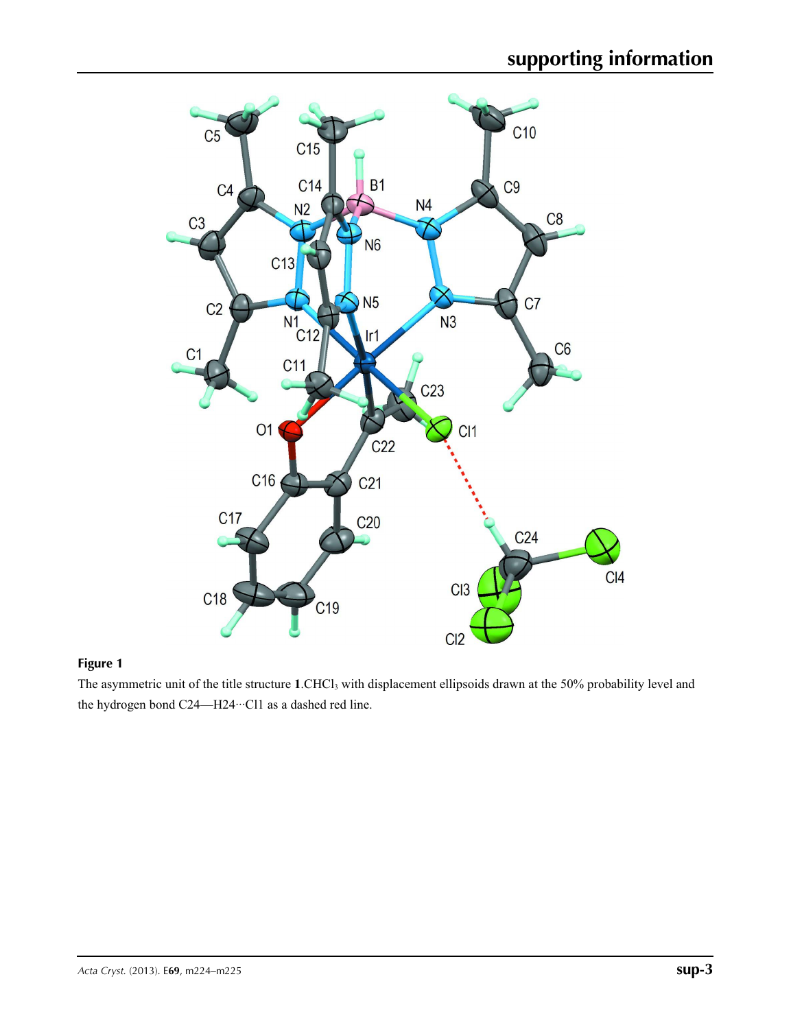

### **Figure 1**

The asymmetric unit of the title structure 1.CHCl<sub>3</sub> with displacement ellipsoids drawn at the 50% probability level and the hydrogen bond C24—H24···Cl1 as a dashed red line.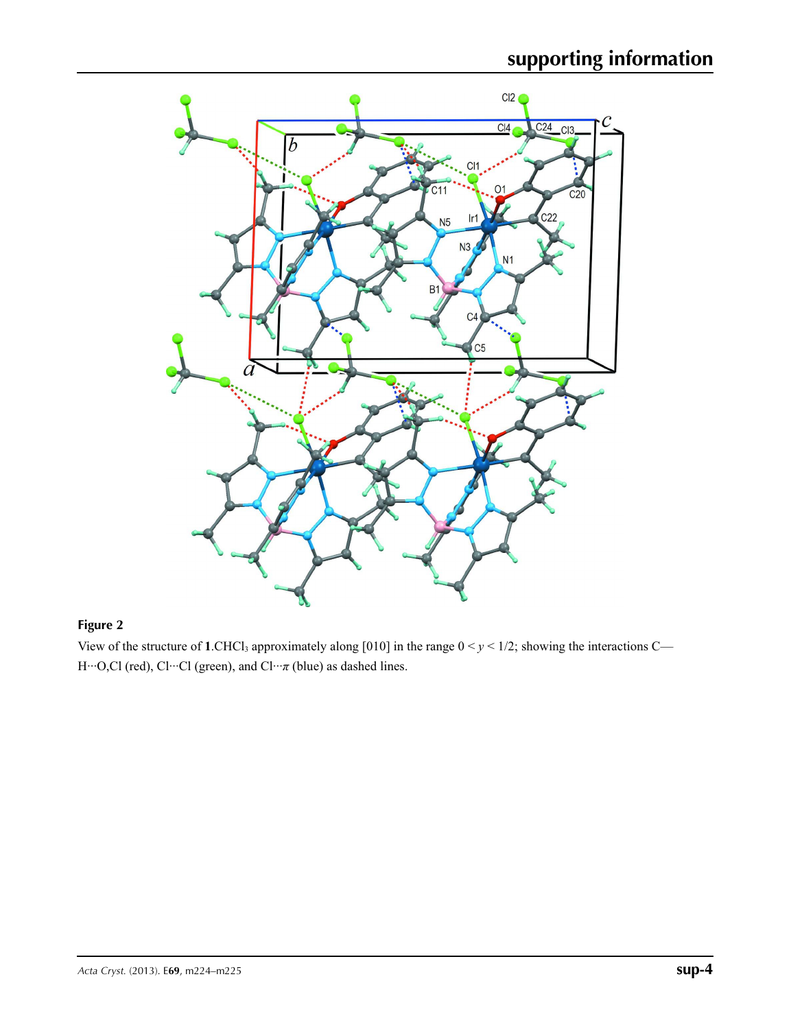

## **Figure 2**

View of the structure of 1.CHCl<sub>3</sub> approximately along [010] in the range  $0 < y < 1/2$ ; showing the interactions C— H···O,Cl (red), Cl···Cl (green), and Cl···*π* (blue) as dashed lines.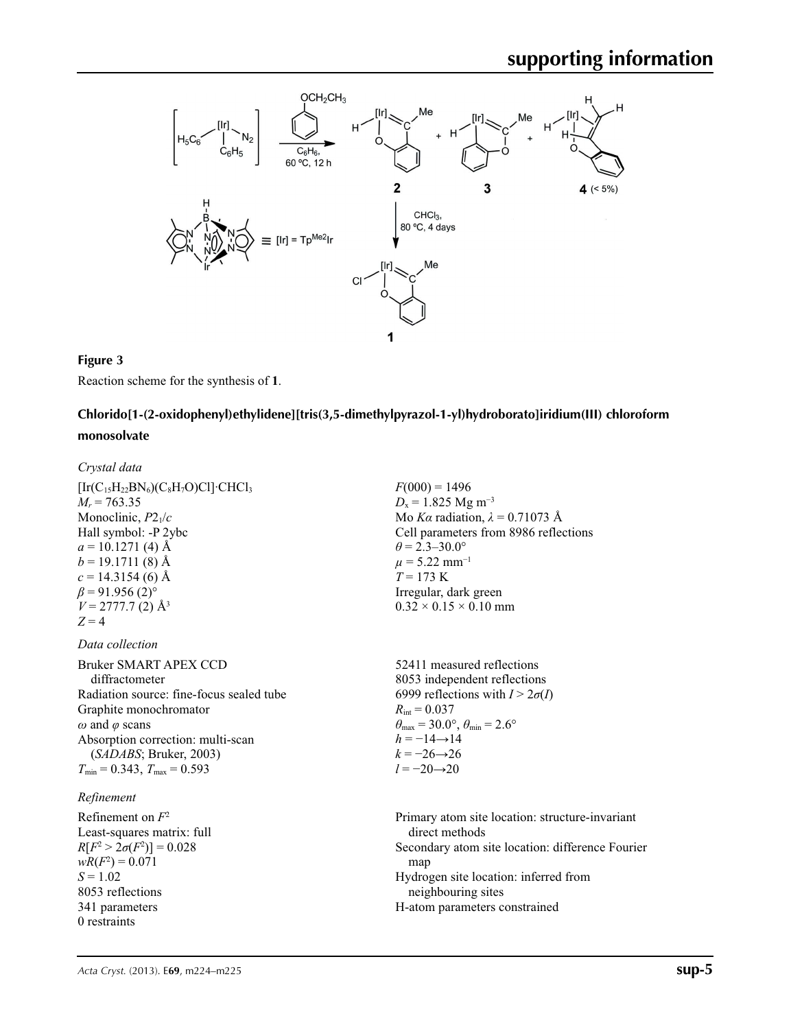

#### **Figure 3**

Reaction scheme for the synthesis of **1**.

## **Chlorido[1-(2-oxidophenyl)ethylidene][tris(3,5-dimethylpyrazol-1-yl)hydroborato]iridium(III) chloroform monosolvate**

#### *Crystal data*

 $[Ir(C<sub>15</sub>H<sub>22</sub>BN<sub>6</sub>)(C<sub>8</sub>H<sub>7</sub>O)Cl]<sup>·</sup>CHCl<sub>3</sub>$  $M_r = 763.35$ Monoclinic, *P*21/*c* Hall symbol: -P 2ybc  $a = 10.1271$  (4) Å  $b = 19.1711(8)$  Å  $c = 14.3154(6)$  Å  $\beta$  = 91.956 (2)<sup>o</sup>  $V = 2777.7$  (2) Å<sup>3</sup>  $Z = 4$ 

#### *Data collection*

Bruker SMART APEX CCD diffractometer Radiation source: fine-focus sealed tube Graphite monochromator *ω* and *φ* scans Absorption correction: multi-scan (*SADABS*; Bruker, 2003)  $T_{\text{min}} = 0.343$ ,  $T_{\text{max}} = 0.593$ 

### *Refinement*

Refinement on *F*<sup>2</sup> Least-squares matrix: full  $R[F^2 > 2\sigma(F^2)] = 0.028$  $wR(F^2) = 0.071$ *S* = 1.02 8053 reflections 341 parameters 0 restraints

 $F(000) = 1496$  $D_x = 1.825$  Mg m<sup>-3</sup> Mo *Kα* radiation,  $\lambda = 0.71073$  Å Cell parameters from 8986 reflections  $\theta = 2.3 - 30.0^{\circ}$  $\mu$  = 5.22 mm<sup>-1</sup>  $T = 173$  K Irregular, dark green  $0.32 \times 0.15 \times 0.10$  mm

52411 measured reflections 8053 independent reflections 6999 reflections with  $I > 2\sigma(I)$  $R_{\text{int}} = 0.037$  $\theta_{\text{max}} = 30.0^{\circ}, \theta_{\text{min}} = 2.6^{\circ}$  $h = -14 \rightarrow 14$  $k = -26 \rightarrow 26$ *l* = −20→20

Primary atom site location: structure-invariant direct methods Secondary atom site location: difference Fourier map Hydrogen site location: inferred from neighbouring sites H-atom parameters constrained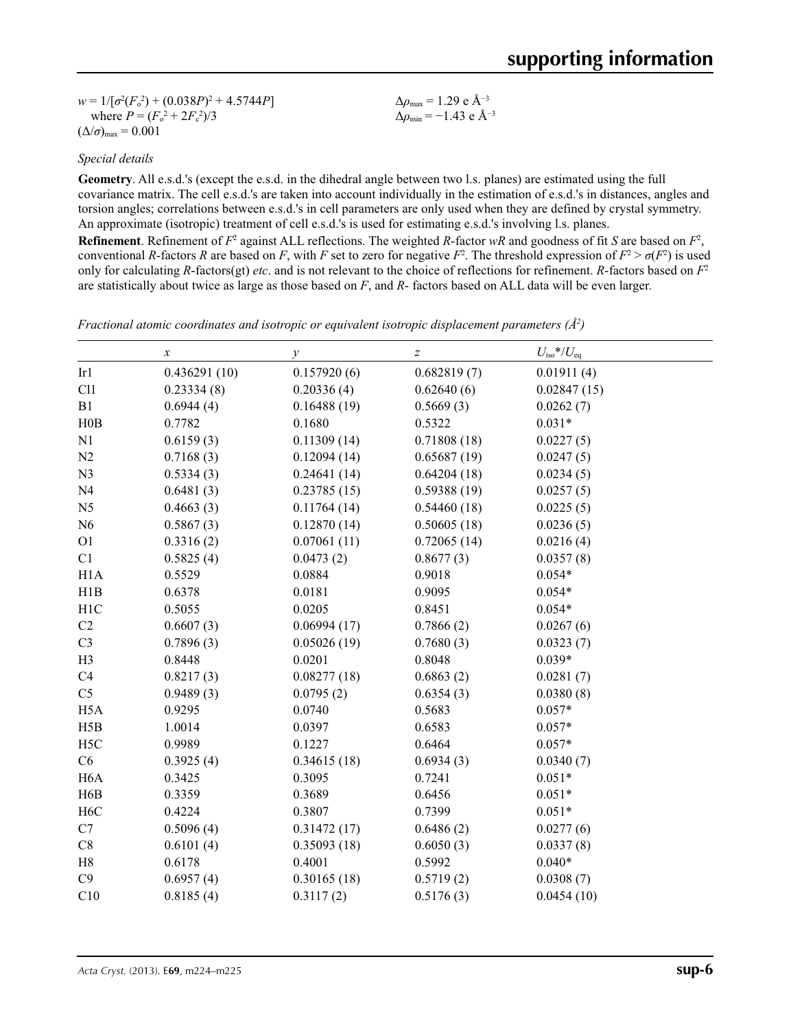$w = 1/[\sigma^2 (F_o^2) + (0.038P)^2 + 4.5744P]$ where  $P = (F_o^2 + 2F_c^2)/3$  $(\Delta/\sigma)_{\text{max}} = 0.001$ Δ*ρ*max = 1.29 e Å−3 Δ*ρ*min = −1.43 e Å−3

#### *Special details*

**Geometry**. All e.s.d.'s (except the e.s.d. in the dihedral angle between two l.s. planes) are estimated using the full covariance matrix. The cell e.s.d.'s are taken into account individually in the estimation of e.s.d.'s in distances, angles and torsion angles; correlations between e.s.d.'s in cell parameters are only used when they are defined by crystal symmetry. An approximate (isotropic) treatment of cell e.s.d.'s is used for estimating e.s.d.'s involving l.s. planes. **Refinement**. Refinement of  $F^2$  against ALL reflections. The weighted  $R$ -factor  $wR$  and goodness of fit  $S$  are based on  $F^2$ ,

conventional *R*-factors *R* are based on *F*, with *F* set to zero for negative  $F^2$ . The threshold expression of  $F^2 > \sigma(F^2)$  is used only for calculating *R*-factors(gt) *etc*. and is not relevant to the choice of reflections for refinement. *R*-factors based on *F*<sup>2</sup> are statistically about twice as large as those based on *F*, and *R*- factors based on ALL data will be even larger.

*Fractional atomic coordinates and isotropic or equivalent isotropic displacement parameters (Å<sup>2</sup>)* 

|                  | $\boldsymbol{x}$ | у           | $\boldsymbol{Z}$ | $U_{\rm iso}$ */ $U_{\rm eq}$ |  |
|------------------|------------------|-------------|------------------|-------------------------------|--|
| Ir1              | 0.436291(10)     | 0.157920(6) | 0.682819(7)      | 0.01911(4)                    |  |
| Cl1              | 0.23334(8)       | 0.20336(4)  | 0.62640(6)       | 0.02847(15)                   |  |
| B1               | 0.6944(4)        | 0.16488(19) | 0.5669(3)        | 0.0262(7)                     |  |
| H0B              | 0.7782           | 0.1680      | 0.5322           | $0.031*$                      |  |
| N1               | 0.6159(3)        | 0.11309(14) | 0.71808(18)      | 0.0227(5)                     |  |
| N2               | 0.7168(3)        | 0.12094(14) | 0.65687(19)      | 0.0247(5)                     |  |
| N3               | 0.5334(3)        | 0.24641(14) | 0.64204(18)      | 0.0234(5)                     |  |
| N <sub>4</sub>   | 0.6481(3)        | 0.23785(15) | 0.59388(19)      | 0.0257(5)                     |  |
| N <sub>5</sub>   | 0.4663(3)        | 0.11764(14) | 0.54460(18)      | 0.0225(5)                     |  |
| N <sub>6</sub>   | 0.5867(3)        | 0.12870(14) | 0.50605(18)      | 0.0236(5)                     |  |
| O <sub>1</sub>   | 0.3316(2)        | 0.07061(11) | 0.72065(14)      | 0.0216(4)                     |  |
| C1               | 0.5825(4)        | 0.0473(2)   | 0.8677(3)        | 0.0357(8)                     |  |
| H1A              | 0.5529           | 0.0884      | 0.9018           | $0.054*$                      |  |
| H1B              | 0.6378           | 0.0181      | 0.9095           | $0.054*$                      |  |
| H1C              | 0.5055           | 0.0205      | 0.8451           | $0.054*$                      |  |
| C2               | 0.6607(3)        | 0.06994(17) | 0.7866(2)        | 0.0267(6)                     |  |
| C <sub>3</sub>   | 0.7896(3)        | 0.05026(19) | 0.7680(3)        | 0.0323(7)                     |  |
| H <sub>3</sub>   | 0.8448           | 0.0201      | 0.8048           | $0.039*$                      |  |
| C4               | 0.8217(3)        | 0.08277(18) | 0.6863(2)        | 0.0281(7)                     |  |
| C <sub>5</sub>   | 0.9489(3)        | 0.0795(2)   | 0.6354(3)        | 0.0380(8)                     |  |
| H <sub>5</sub> A | 0.9295           | 0.0740      | 0.5683           | $0.057*$                      |  |
| H5B              | 1.0014           | 0.0397      | 0.6583           | $0.057*$                      |  |
| H <sub>5</sub> C | 0.9989           | 0.1227      | 0.6464           | $0.057*$                      |  |
| C6               | 0.3925(4)        | 0.34615(18) | 0.6934(3)        | 0.0340(7)                     |  |
| H <sub>6</sub> A | 0.3425           | 0.3095      | 0.7241           | $0.051*$                      |  |
| H <sub>6</sub> B | 0.3359           | 0.3689      | 0.6456           | $0.051*$                      |  |
| H <sub>6</sub> C | 0.4224           | 0.3807      | 0.7399           | $0.051*$                      |  |
| C7               | 0.5096(4)        | 0.31472(17) | 0.6486(2)        | 0.0277(6)                     |  |
| $\mbox{C}8$      | 0.6101(4)        | 0.35093(18) | 0.6050(3)        | 0.0337(8)                     |  |
| $\rm H8$         | 0.6178           | 0.4001      | 0.5992           | $0.040*$                      |  |
| C9               | 0.6957(4)        | 0.30165(18) | 0.5719(2)        | 0.0308(7)                     |  |
| C10              | 0.8185(4)        | 0.3117(2)   | 0.5176(3)        | 0.0454(10)                    |  |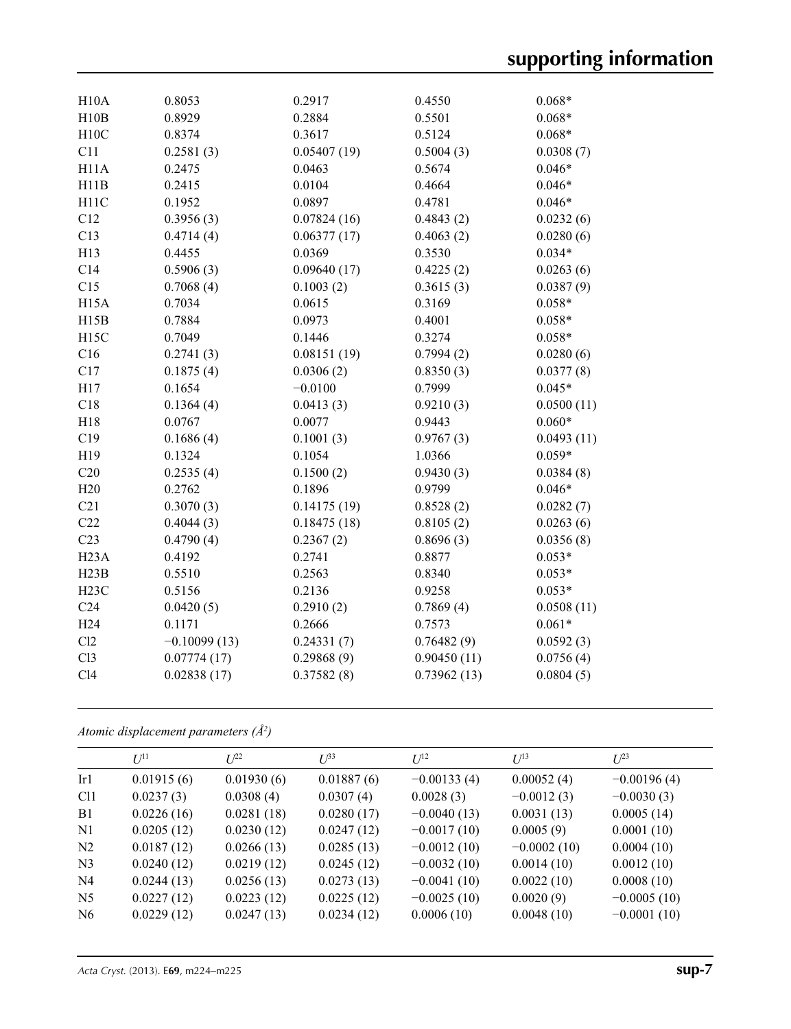| H10A              | 0.8053         | 0.2917      | 0.4550      | $0.068*$   |
|-------------------|----------------|-------------|-------------|------------|
| H10B              | 0.8929         | 0.2884      | 0.5501      | $0.068*$   |
| H10C              | 0.8374         | 0.3617      | 0.5124      | $0.068*$   |
| C11               | 0.2581(3)      | 0.05407(19) | 0.5004(3)   | 0.0308(7)  |
| H <sub>11</sub> A | 0.2475         | 0.0463      | 0.5674      | $0.046*$   |
| H11B              | 0.2415         | 0.0104      | 0.4664      | $0.046*$   |
| H <sub>11</sub> C | 0.1952         | 0.0897      | 0.4781      | $0.046*$   |
| C12               | 0.3956(3)      | 0.07824(16) | 0.4843(2)   | 0.0232(6)  |
| C13               | 0.4714(4)      | 0.06377(17) | 0.4063(2)   | 0.0280(6)  |
| H13               | 0.4455         | 0.0369      | 0.3530      | $0.034*$   |
| C14               | 0.5906(3)      | 0.09640(17) | 0.4225(2)   | 0.0263(6)  |
| C15               | 0.7068(4)      | 0.1003(2)   | 0.3615(3)   | 0.0387(9)  |
| H <sub>15</sub> A | 0.7034         | 0.0615      | 0.3169      | $0.058*$   |
| H15B              | 0.7884         | 0.0973      | 0.4001      | $0.058*$   |
| H15C              | 0.7049         | 0.1446      | 0.3274      | $0.058*$   |
| C16               | 0.2741(3)      | 0.08151(19) | 0.7994(2)   | 0.0280(6)  |
| C17               | 0.1875(4)      | 0.0306(2)   | 0.8350(3)   | 0.0377(8)  |
| H17               | 0.1654         | $-0.0100$   | 0.7999      | $0.045*$   |
| C18               | 0.1364(4)      | 0.0413(3)   | 0.9210(3)   | 0.0500(11) |
| H18               | 0.0767         | 0.0077      | 0.9443      | $0.060*$   |
| C19               | 0.1686(4)      | 0.1001(3)   | 0.9767(3)   | 0.0493(11) |
| H19               | 0.1324         | 0.1054      | 1.0366      | $0.059*$   |
| C20               | 0.2535(4)      | 0.1500(2)   | 0.9430(3)   | 0.0384(8)  |
| H20               | 0.2762         | 0.1896      | 0.9799      | $0.046*$   |
| C21               | 0.3070(3)      | 0.14175(19) | 0.8528(2)   | 0.0282(7)  |
| C22               | 0.4044(3)      | 0.18475(18) | 0.8105(2)   | 0.0263(6)  |
| C <sub>23</sub>   | 0.4790(4)      | 0.2367(2)   | 0.8696(3)   | 0.0356(8)  |
| H23A              | 0.4192         | 0.2741      | 0.8877      | $0.053*$   |
| H23B              | 0.5510         | 0.2563      | 0.8340      | $0.053*$   |
| H23C              | 0.5156         | 0.2136      | 0.9258      | $0.053*$   |
| C <sub>24</sub>   | 0.0420(5)      | 0.2910(2)   | 0.7869(4)   | 0.0508(11) |
| H <sub>24</sub>   | 0.1171         | 0.2666      | 0.7573      | $0.061*$   |
| C12               | $-0.10099(13)$ | 0.24331(7)  | 0.76482(9)  | 0.0592(3)  |
| Cl <sub>3</sub>   | 0.07774(17)    | 0.29868(9)  | 0.90450(11) | 0.0756(4)  |
| C14               | 0.02838(17)    | 0.37582(8)  | 0.73962(13) | 0.0804(5)  |
|                   |                |             |             |            |

*Atomic displacement parameters (Å2 )*

|                 | $U^{11}$   | $L^{22}$   | $U^{\beta 3}$ | $U^{12}$      | $U^{13}$      | $L^{23}$      |
|-----------------|------------|------------|---------------|---------------|---------------|---------------|
| Ir1             | 0.01915(6) | 0.01930(6) | 0.01887(6)    | $-0.00133(4)$ | 0.00052(4)    | $-0.00196(4)$ |
| C <sub>11</sub> | 0.0237(3)  | 0.0308(4)  | 0.0307(4)     | 0.0028(3)     | $-0.0012(3)$  | $-0.0030(3)$  |
| B1              | 0.0226(16) | 0.0281(18) | 0.0280(17)    | $-0.0040(13)$ | 0.0031(13)    | 0.0005(14)    |
| N <sub>1</sub>  | 0.0205(12) | 0.0230(12) | 0.0247(12)    | $-0.0017(10)$ | 0.0005(9)     | 0.0001(10)    |
| N <sub>2</sub>  | 0.0187(12) | 0.0266(13) | 0.0285(13)    | $-0.0012(10)$ | $-0.0002(10)$ | 0.0004(10)    |
| N <sub>3</sub>  | 0.0240(12) | 0.0219(12) | 0.0245(12)    | $-0.0032(10)$ | 0.0014(10)    | 0.0012(10)    |
| N <sub>4</sub>  | 0.0244(13) | 0.0256(13) | 0.0273(13)    | $-0.0041(10)$ | 0.0022(10)    | 0.0008(10)    |
| N <sub>5</sub>  | 0.0227(12) | 0.0223(12) | 0.0225(12)    | $-0.0025(10)$ | 0.0020(9)     | $-0.0005(10)$ |
| N <sub>6</sub>  | 0.0229(12) | 0.0247(13) | 0.0234(12)    | 0.0006(10)    | 0.0048(10)    | $-0.0001(10)$ |
|                 |            |            |               |               |               |               |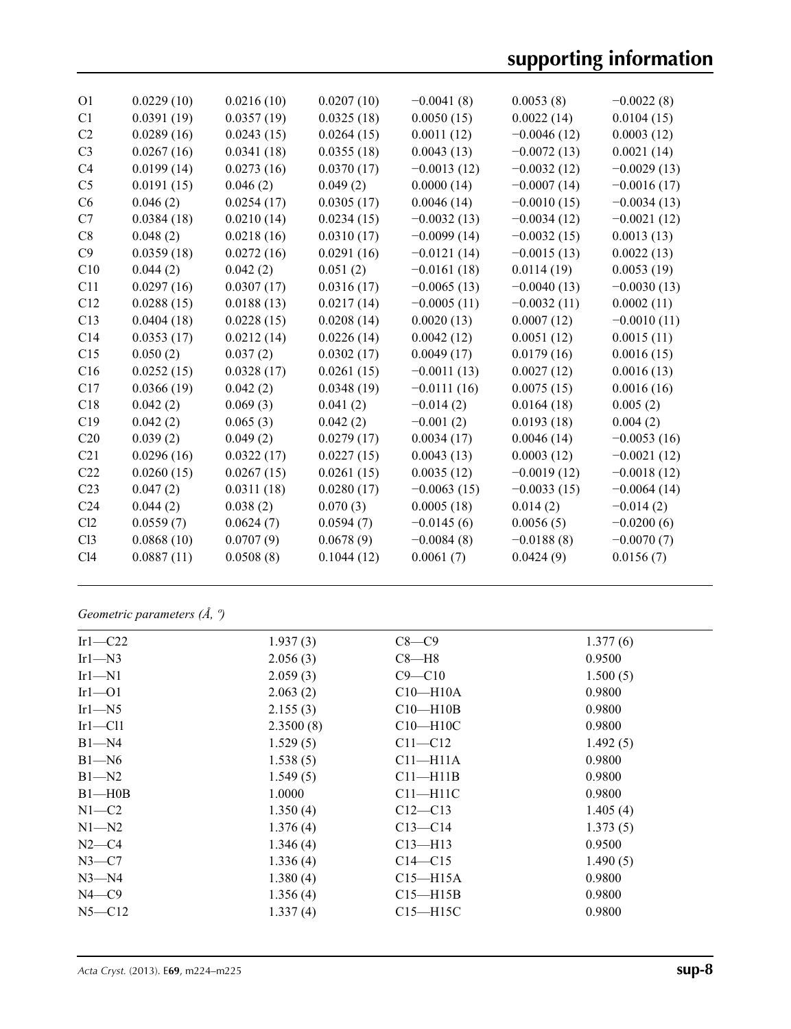| O <sub>1</sub>  | 0.0229(10) | 0.0216(10) | 0.0207(10) | $-0.0041(8)$  | 0.0053(8)     | $-0.0022(8)$  |
|-----------------|------------|------------|------------|---------------|---------------|---------------|
| C <sub>1</sub>  | 0.0391(19) | 0.0357(19) | 0.0325(18) | 0.0050(15)    | 0.0022(14)    | 0.0104(15)    |
| C <sub>2</sub>  | 0.0289(16) | 0.0243(15) | 0.0264(15) | 0.0011(12)    | $-0.0046(12)$ | 0.0003(12)    |
| C <sub>3</sub>  | 0.0267(16) | 0.0341(18) | 0.0355(18) | 0.0043(13)    | $-0.0072(13)$ | 0.0021(14)    |
| C <sub>4</sub>  | 0.0199(14) | 0.0273(16) | 0.0370(17) | $-0.0013(12)$ | $-0.0032(12)$ | $-0.0029(13)$ |
| C <sub>5</sub>  | 0.0191(15) | 0.046(2)   | 0.049(2)   | 0.0000(14)    | $-0.0007(14)$ | $-0.0016(17)$ |
| C6              | 0.046(2)   | 0.0254(17) | 0.0305(17) | 0.0046(14)    | $-0.0010(15)$ | $-0.0034(13)$ |
| C7              | 0.0384(18) | 0.0210(14) | 0.0234(15) | $-0.0032(13)$ | $-0.0034(12)$ | $-0.0021(12)$ |
| C8              | 0.048(2)   | 0.0218(16) | 0.0310(17) | $-0.0099(14)$ | $-0.0032(15)$ | 0.0013(13)    |
| C9              | 0.0359(18) | 0.0272(16) | 0.0291(16) | $-0.0121(14)$ | $-0.0015(13)$ | 0.0022(13)    |
| C10             | 0.044(2)   | 0.042(2)   | 0.051(2)   | $-0.0161(18)$ | 0.0114(19)    | 0.0053(19)    |
| C11             | 0.0297(16) | 0.0307(17) | 0.0316(17) | $-0.0065(13)$ | $-0.0040(13)$ | $-0.0030(13)$ |
| C12             | 0.0288(15) | 0.0188(13) | 0.0217(14) | $-0.0005(11)$ | $-0.0032(11)$ | 0.0002(11)    |
| C13             | 0.0404(18) | 0.0228(15) | 0.0208(14) | 0.0020(13)    | 0.0007(12)    | $-0.0010(11)$ |
| C <sub>14</sub> | 0.0353(17) | 0.0212(14) | 0.0226(14) | 0.0042(12)    | 0.0051(12)    | 0.0015(11)    |
| C15             | 0.050(2)   | 0.037(2)   | 0.0302(17) | 0.0049(17)    | 0.0179(16)    | 0.0016(15)    |
| C16             | 0.0252(15) | 0.0328(17) | 0.0261(15) | $-0.0011(13)$ | 0.0027(12)    | 0.0016(13)    |
| C17             | 0.0366(19) | 0.042(2)   | 0.0348(19) | $-0.0111(16)$ | 0.0075(15)    | 0.0016(16)    |
| C18             | 0.042(2)   | 0.069(3)   | 0.041(2)   | $-0.014(2)$   | 0.0164(18)    | 0.005(2)      |
| C19             | 0.042(2)   | 0.065(3)   | 0.042(2)   | $-0.001(2)$   | 0.0193(18)    | 0.004(2)      |
| C20             | 0.039(2)   | 0.049(2)   | 0.0279(17) | 0.0034(17)    | 0.0046(14)    | $-0.0053(16)$ |
| C <sub>21</sub> | 0.0296(16) | 0.0322(17) | 0.0227(15) | 0.0043(13)    | 0.0003(12)    | $-0.0021(12)$ |
| C22             | 0.0260(15) | 0.0267(15) | 0.0261(15) | 0.0035(12)    | $-0.0019(12)$ | $-0.0018(12)$ |
| C <sub>23</sub> | 0.047(2)   | 0.0311(18) | 0.0280(17) | $-0.0063(15)$ | $-0.0033(15)$ | $-0.0064(14)$ |
| C <sub>24</sub> | 0.044(2)   | 0.038(2)   | 0.070(3)   | 0.0005(18)    | 0.014(2)      | $-0.014(2)$   |
| Cl2             | 0.0559(7)  | 0.0624(7)  | 0.0594(7)  | $-0.0145(6)$  | 0.0056(5)     | $-0.0200(6)$  |
| Cl <sub>3</sub> | 0.0868(10) | 0.0707(9)  | 0.0678(9)  | $-0.0084(8)$  | $-0.0188(8)$  | $-0.0070(7)$  |
| C14             | 0.0887(11) | 0.0508(8)  | 0.1044(12) | 0.0061(7)     | 0.0424(9)     | 0.0156(7)     |
|                 |            |            |            |               |               |               |

*Geometric parameters (Å, º)*

| Irl $-C22$    | 1.937(3)  | $C8-C9$      | 1.377(6) |
|---------------|-----------|--------------|----------|
| $Ir1 - N3$    | 2.056(3)  | $C8 - H8$    | 0.9500   |
| $Ir1-M1$      | 2.059(3)  | $C9 - C10$   | 1.500(5) |
| $Ir1-01$      | 2.063(2)  | $C10 - H10A$ | 0.9800   |
| Irl $-M5$     | 2.155(3)  | $C10 - H10B$ | 0.9800   |
| $Ir1$ - $Cl1$ | 2.3500(8) | $C10 - H10C$ | 0.9800   |
| $B1 - N4$     | 1.529(5)  | $C11 - C12$  | 1.492(5) |
| $B1 - N6$     | 1.538(5)  | $C11 - H11A$ | 0.9800   |
| $B1 - N2$     | 1.549(5)  | $C11 - H11B$ | 0.9800   |
| $B1 - H0B$    | 1.0000    | $C11 - H11C$ | 0.9800   |
| $N1-C2$       | 1.350(4)  | $C12 - C13$  | 1.405(4) |
| $N1 - N2$     | 1.376(4)  | $C13 - C14$  | 1.373(5) |
| $N2-C4$       | 1.346(4)  | $C13$ —H13   | 0.9500   |
| $N3-C7$       | 1.336(4)  | $C14 - C15$  | 1.490(5) |
| $N3 - N4$     | 1.380(4)  | $C15 - H15A$ | 0.9800   |
| $N4$ —C9      | 1.356(4)  | $C15 - H15B$ | 0.9800   |
| $N5 - C12$    | 1.337(4)  | $C15 - H15C$ | 0.9800   |
|               |           |              |          |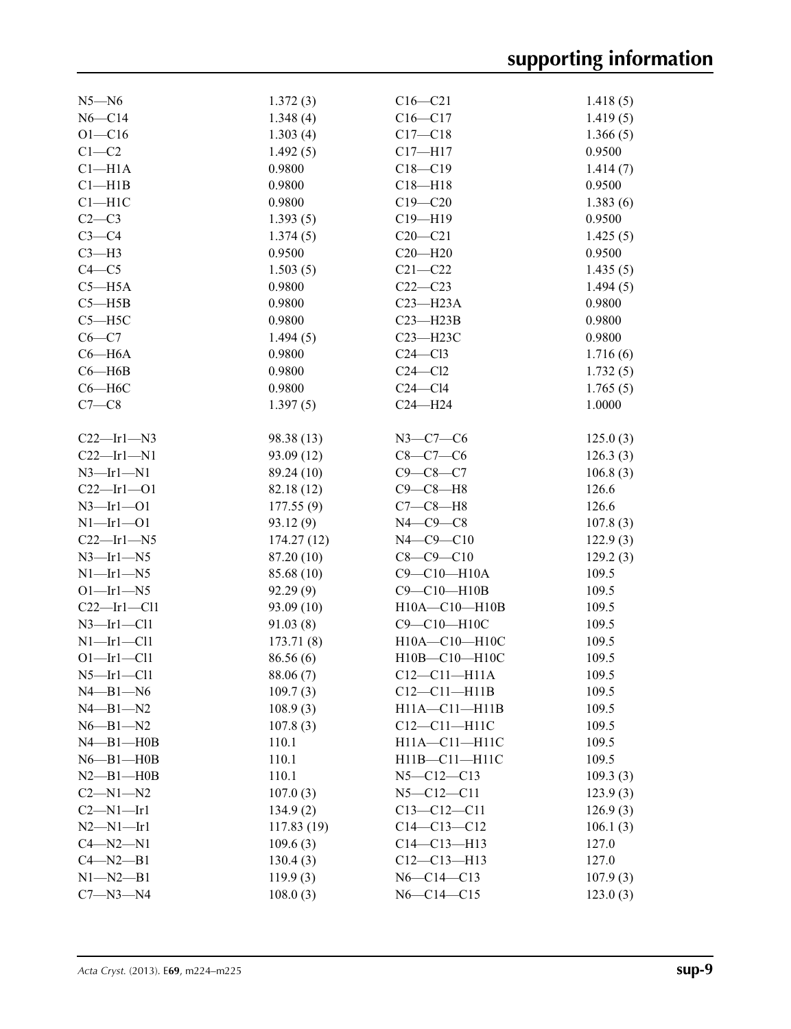| $N5 - N6$           | 1.372(3)   | $C16 - C21$        | 1.418(5) |
|---------------------|------------|--------------------|----------|
| $N6 - C14$          | 1.348(4)   | $C16 - C17$        | 1.419(5) |
| $O1 - C16$          | 1.303(4)   | $C17 - C18$        | 1.366(5) |
| $C1-C2$             | 1.492(5)   | $C17 - H17$        | 0.9500   |
| $Cl-H1A$            | 0.9800     | $C18 - C19$        | 1.414(7) |
| $C1 - H1B$          | 0.9800     | $C18 - H18$        | 0.9500   |
| $C1 - H1C$          | 0.9800     | $C19 - C20$        | 1.383(6) |
| $C2-C3$             | 1.393(5)   | $C19 - H19$        | 0.9500   |
| $C3-C4$             | 1.374(5)   | $C20-C21$          | 1.425(5) |
| $C3-H3$             | 0.9500     | $C20 - H20$        | 0.9500   |
| $C4 - C5$           | 1.503(5)   | $C21 - C22$        | 1.435(5) |
| $C5 - H5A$          | 0.9800     | $C22-C23$          | 1.494(5) |
| $C5 - H5B$          | 0.9800     | $C23 - H23A$       | 0.9800   |
| $C5 - H5C$          | 0.9800     | $C23 - H23B$       | 0.9800   |
| $C6-C7$             | 1.494(5)   | $C23 - H23C$       | 0.9800   |
| $C6 - H6A$          | 0.9800     | $C24 - C13$        | 1.716(6) |
| $C6 - H6B$          | 0.9800     | $C24 - C12$        | 1.732(5) |
| $C6 - H6C$          | 0.9800     | $C24 - C14$        | 1.765(5) |
| $C7-C8$             | 1.397(5)   | $C24 - H24$        | 1.0000   |
|                     |            |                    |          |
| $C22$ —Irl—N3       | 98.38 (13) | $N3 - C7 - C6$     | 125.0(3) |
| $C22$ -Irl-N1       | 93.09 (12) | $C8 - C7 - C6$     | 126.3(3) |
| $N3$ -Irl-N1        | 89.24 (10) | $C9-C8-C7$         | 106.8(3) |
| $C22 - Ir1 - O1$    | 82.18 (12) | $C9-C8-H8$         | 126.6    |
| $N3 - Ir1 - O1$     | 177.55(9)  | $C7-C8-H8$         | 126.6    |
| $N1 - Ir1 - O1$     | 93.12(9)   | $N4$ $-C9$ $-C8$   | 107.8(3) |
| $C22$ -Irl-N5       | 174.27(12) | $N4 - C9 - C10$    | 122.9(3) |
| $N3$ -Irl-N5        | 87.20 (10) | $C8 - C9 - C10$    | 129.2(3) |
| $N1$ —Irl—N5        | 85.68 (10) | C9-C10-H10A        | 109.5    |
| $O1$ —Irl—N5        | 92.29(9)   | C9-C10-H10B        | 109.5    |
| $C22$ —Irl—Cl1      | 93.09 (10) | H10A-C10-H10B      | 109.5    |
| $N3$ —Irl—Cl1       | 91.03(8)   | C9-C10-H10C        | 109.5    |
| $N1$ -Irl-Cl1       | 173.71(8)  | H10A-C10-H10C      | 109.5    |
| $O1 - Ir1 - Cl1$    | 86.56(6)   | H10B-C10-H10C      | 109.5    |
| $N5$ -Irl-Cll       | 88.06 (7)  | $C12 - C11 - H11A$ | 109.5    |
| $N4 - B1 - N6$      | 109.7(3)   | $C12 - C11 - H11B$ | 109.5    |
| $N4 - B1 - N2$      | 108.9(3)   | H11A-C11-H11B      | 109.5    |
| $N6 - B1 - N2$      | 107.8(3)   | $C12-C11-H11C$     | 109.5    |
| $N4 - B1 - H0B$     | 110.1      | H11A-C11-H11C      | 109.5    |
| $N6 - B1 - H0B$     | 110.1      | H11B-C11-H11C      | 109.5    |
| $N2$ — $B1$ — $H0B$ | 110.1      | $N5 - C12 - C13$   | 109.3(3) |
| $C2 - N1 - N2$      | 107.0(3)   | $N5 - C12 - C11$   | 123.9(3) |
| $C2 - N1 - Ir1$     | 134.9(2)   | $C13 - C12 - C11$  | 126.9(3) |
| $N2 - N1 - Ir1$     | 117.83(19) | $C14 - C13 - C12$  | 106.1(3) |
| $C4 - N2 - N1$      | 109.6(3)   | $C14 - C13 - H13$  | 127.0    |
| $C4 - N2 - B1$      | 130.4(3)   | $C12 - C13 - H13$  | 127.0    |
| $N1 - N2 - B1$      | 119.9(3)   | $N6 - C14 - C13$   | 107.9(3) |
| $C7 - N3 - N4$      | 108.0(3)   | $N6 - C14 - C15$   | 123.0(3) |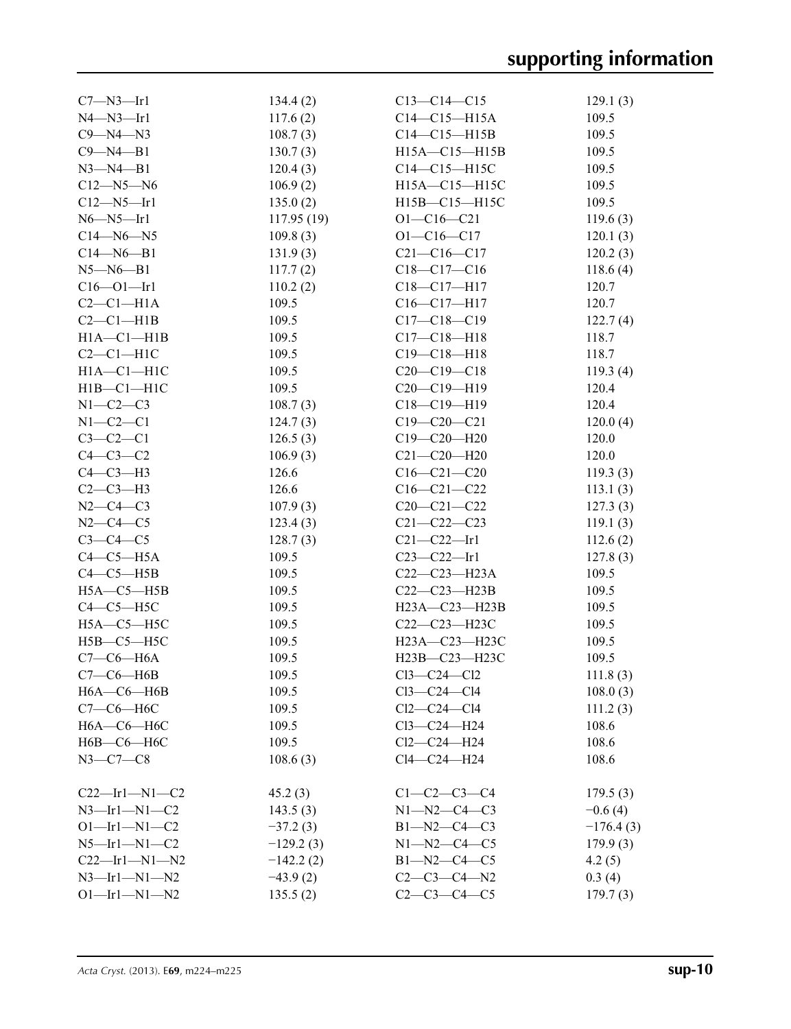| $C7 - N3 - Ir1$      | 134.4(2)    | $C13 - C14 - C15$   | 129.1(3)    |
|----------------------|-------------|---------------------|-------------|
| $N4 - N3 - Ir1$      | 117.6(2)    | $C14-C15-H15A$      | 109.5       |
| $C9 - N4 - N3$       | 108.7(3)    | $C14 - C15 - H15B$  | 109.5       |
| $C9 - N4 - B1$       | 130.7(3)    | $H15A - C15 - H15B$ | 109.5       |
| $N3 - N4 - B1$       | 120.4(3)    | $C14 - C15 - H15C$  | 109.5       |
| $C12 - N5 - N6$      | 106.9(2)    | H15A-C15-H15C       | 109.5       |
| $C12 - N5 - Ir1$     | 135.0(2)    | $H15B - C15 - H15C$ | 109.5       |
| $N6 - N5 - Ir1$      | 117.95(19)  | $O1 - C16 - C21$    | 119.6(3)    |
| $C14 - N6 - N5$      | 109.8(3)    | $O1 - C16 - C17$    | 120.1(3)    |
| $C14 - N6 - B1$      | 131.9(3)    | $C21 - C16 - C17$   | 120.2(3)    |
| $N5 - N6 - B1$       | 117.7(2)    | $C18 - C17 - C16$   | 118.6(4)    |
| $C16 - 01 - Ir1$     | 110.2(2)    | $C18 - C17 - H17$   | 120.7       |
| $C2-C1-H1A$          | 109.5       | $C16-C17-H17$       | 120.7       |
| $C2-C1-H1B$          | 109.5       | $C17 - C18 - C19$   | 122.7(4)    |
| $H1A - C1 - H1B$     | 109.5       | $C17 - C18 - H18$   | 118.7       |
| $C2-C1-H1C$          | 109.5       | $C19 - C18 - H18$   | 118.7       |
| $H1A - C1 - H1C$     | 109.5       | $C20-C19-C18$       | 119.3(4)    |
| $H1B - C1 - H1C$     | 109.5       | $C20-C19-H19$       | 120.4       |
| $N1-C2-C3$           | 108.7(3)    | $C18 - C19 - H19$   | 120.4       |
| $N1-C2-C1$           | 124.7(3)    | $C19 - C20 - C21$   | 120.0(4)    |
| $C3-C2-C1$           | 126.5(3)    | $C19 - C20 - H20$   | 120.0       |
| $C4-C3-C2$           | 106.9(3)    | $C21 - C20 - H20$   | 120.0       |
| $C4-C3-H3$           | 126.6       | $C16 - C21 - C20$   | 119.3(3)    |
| $C2-C3-H3$           | 126.6       | $C16 - C21 - C22$   | 113.1(3)    |
| $N2 - C4 - C3$       | 107.9(3)    | $C20-C21-C22$       | 127.3(3)    |
| $N2 - C4 - C5$       | 123.4(3)    | $C21 - C22 - C23$   | 119.1(3)    |
| $C3-C4-C5$           | 128.7(3)    | $C21 - C22 - Ir1$   | 112.6(2)    |
| $C4-C5-H5A$          | 109.5       | $C23 - C22 - Ir1$   | 127.8(3)    |
| $C4-C5-H5B$          | 109.5       | $C22-C23-H23A$      | 109.5       |
| $H5A - C5 - H5B$     | 109.5       | C22-C23-H23B        | 109.5       |
| $C4-C5-H5C$          | 109.5       | $H23A - C23 - H23B$ | 109.5       |
| $H5A-C5-H5C$         | 109.5       | C22-C23-H23C        | 109.5       |
| $H5B-C5-H5C$         | 109.5       | H23A-C23-H23C       | 109.5       |
| $C7-C6-H6A$          | 109.5       | H23B-C23-H23C       | 109.5       |
| $C7-C6-H6B$          | 109.5       | $Cl3-C24-C12$       | 111.8(3)    |
| $H6A-C6-H6B$         | 109.5       | $Cl3-C24-C14$       | 108.0(3)    |
| $C7-C6-H6C$          | 109.5       | $Cl2-C24-C14$       | 111.2(3)    |
| $H6A-C6-H6C$         | 109.5       | $Cl3-C24-H24$       | 108.6       |
| Н6В-С6-Н6С           | 109.5       | $Cl2-C24-H24$       | 108.6       |
| $N3-C7-C8$           | 108.6(3)    | $Cl4-C24-H24$       | 108.6       |
|                      |             |                     |             |
| $C22$ —Irl—Nl—C2     | 45.2(3)     | $C1 - C2 - C3 - C4$ | 179.5(3)    |
| $N3$ —Irl—N1—C2      | 143.5(3)    | $N1 - N2 - C4 - C3$ | $-0.6(4)$   |
| $O1$ -Irl-N1-C2      | $-37.2(3)$  | B1-N2-C4-C3         | $-176.4(3)$ |
| $N5$ —Irl—Nl—C2      | $-129.2(3)$ | $N1 - N2 - C4 - C5$ | 179.9(3)    |
| $C22$ —Irl—N1—N2     | $-142.2(2)$ | $B1 - N2 - C4 - C5$ | 4.2(5)      |
| $N3$ —Irl—N1—N2      | $-43.9(2)$  | $C2-C3-C4-N2$       | 0.3(4)      |
| $O1 - Ir1 - N1 - N2$ | 135.5(2)    | $C2-C3-C4-C5$       | 179.7(3)    |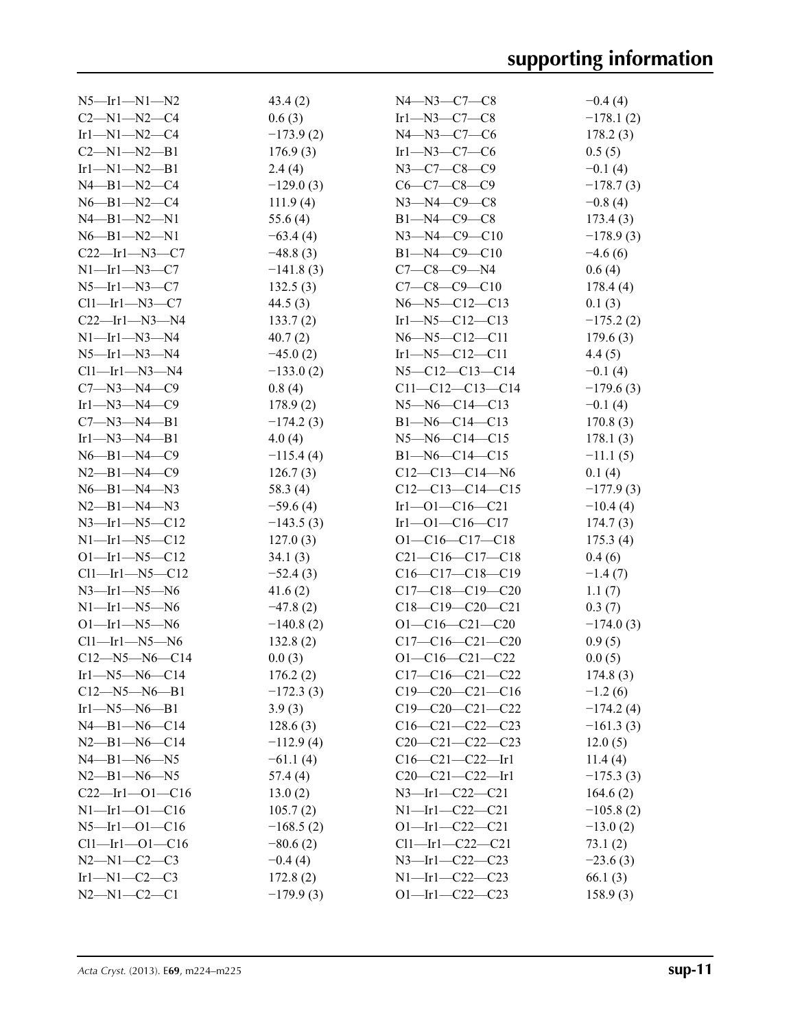| $N5$ —Ir1—N1—N2             | 43.4(2)     | $N4 - N3 - C7 - C8$    | $-0.4(4)$   |
|-----------------------------|-------------|------------------------|-------------|
| $C2 - N1 - N2 - C4$         | 0.6(3)      | $Ir1-N3-C7-C8$         | $-178.1(2)$ |
| $Ir1-M1-N2-C4$              | $-173.9(2)$ | $N4 - N3 - C7 - C6$    | 178.2(3)    |
| $C2 - N1 - N2 - B1$         | 176.9(3)    | Irl—N3—C7—C6           | 0.5(5)      |
| $Ir1-M1-N2-B1$              | 2.4(4)      | $N3 - C7 - C8 - C9$    | $-0.1(4)$   |
| $N4 - B1 - N2 - C4$         | $-129.0(3)$ | $C6-C7-C8-C9$          | $-178.7(3)$ |
| $N6 - B1 - N2 - C4$         | 111.9(4)    | $N3 - N4 - C9 - C8$    | $-0.8(4)$   |
| $N4 - B1 - N2 - N1$         | 55.6 $(4)$  | $B1 - N4 - C9 - C8$    | 173.4(3)    |
| $N6 - B1 - N2 - N1$         | $-63.4(4)$  | $N3 - N4 - C9 - C10$   | $-178.9(3)$ |
| $C22$ —Irl—N3—C7            | $-48.8(3)$  | $B1 - N4 - C9 - C10$   | $-4.6(6)$   |
| $N1$ —Irl—N3—C7             | $-141.8(3)$ | $C7-C8-C9-N4$          | 0.6(4)      |
| $N5$ —Irl—N3—C7             | 132.5(3)    | $C7-C8-C9-C10$         | 178.4(4)    |
| $Cl1$ —Ir $1$ —N $3$ —C7    | 44.5(3)     | $N6 - N5 - C12 - C13$  | 0.1(3)      |
| $C22$ —Ir1—N3—N4            | 133.7(2)    | $Ir1 - N5 - C12 - C13$ | $-175.2(2)$ |
| $N1$ —Irl—N3—N4             | 40.7(2)     | $N6 - N5 - C12 - C11$  | 179.6(3)    |
| $N5$ —Ir1—N3—N4             | $-45.0(2)$  | $Ir1 - N5 - C12 - C11$ | 4.4(5)      |
| $Cl1$ —Ir $1$ —N $3$ —N $4$ | $-133.0(2)$ | $N5 - C12 - C13 - C14$ | $-0.1(4)$   |
| $C7 - N3 - N4 - C9$         | 0.8(4)      | $C11-C12-C13-C14$      | $-179.6(3)$ |
| Irl—N3—N4—C9                | 178.9(2)    | $N5 - N6 - C14 - C13$  | $-0.1(4)$   |
| $C7 - N3 - N4 - B1$         | $-174.2(3)$ | $B1 - N6 - C14 - C13$  | 170.8(3)    |
| $Ir1 - N3 - N4 - B1$        | 4.0(4)      | $N5 - N6 - C14 - C15$  | 178.1(3)    |
| $N6 - B1 - N4 - C9$         | $-115.4(4)$ | $B1 - N6 - C14 - C15$  | $-11.1(5)$  |
| $N2 - B1 - N4 - C9$         | 126.7(3)    | $C12-C13-C14-N6$       | 0.1(4)      |
| $N6 - B1 - N4 - N3$         | 58.3 $(4)$  | $C12-C13-C14-C15$      | $-177.9(3)$ |
| $N2 - B1 - N4 - N3$         | $-59.6(4)$  | $Ir1 - O1 - C16 - C21$ | $-10.4(4)$  |
| $N3$ —Irl—N5—C12            | $-143.5(3)$ | $Ir1 - O1 - C16 - C17$ | 174.7(3)    |
| $N1$ —Irl—N5—C12            | 127.0(3)    | $O1 - C16 - C17 - C18$ | 175.3(4)    |
| $O1$ —Irl—N5—C12            | 34.1(3)     | $C21-C16-C17-C18$      | 0.4(6)      |
| $Cl1$ -Irl-N5-C12           | $-52.4(3)$  | $C16-C17-C18-C19$      | $-1.4(7)$   |
| $N3$ —Irl—N5—N6             | 41.6(2)     | $C17-C18-C19-C20$      | 1.1(7)      |
| $N1$ —Irl—N5—N6             | $-47.8(2)$  | $C18-C19-C20-C21$      | 0.3(7)      |
| $O1$ —Irl—N5—N6             | $-140.8(2)$ | $O1 - C16 - C21 - C20$ | $-174.0(3)$ |
| $Cl1$ -Irl-N5-N6            | 132.8(2)    | $C17-C16-C21-C20$      | 0.9(5)      |
| $C12 - N5 - N6 - C14$       | 0.0(3)      | $O1 - C16 - C21 - C22$ | 0.0(5)      |
| $Ir1 - N5 - N6 - C14$       | 176.2(2)    | $C17-C16-C21-C22$      | 174.8(3)    |
| $C12 - N5 - N6 - B1$        | $-172.3(3)$ | $C19-C20-C21-C16$      | $-1.2(6)$   |
| $Ir1$ —N5—N6—B1             | 3.9(3)      | $C19-C20-C21-C22$      | $-174.2(4)$ |
| $N4 - B1 - N6 - C14$        | 128.6(3)    | $C16-C21-C22-C23$      | $-161.3(3)$ |
| $N2 - B1 - N6 - C14$        | $-112.9(4)$ | $C20-C21-C22-C23$      | 12.0(5)     |
| $N4 - B1 - N6 - N5$         | $-61.1(4)$  | $C16-C21-C22-H1$       | 11.4(4)     |
| $N2 - B1 - N6 - N5$         | 57.4 (4)    | $C20-C21-C22-H1$       | $-175.3(3)$ |
| $C22$ -Irl-01- $C16$        | 13.0(2)     | $N3$ —Irl—C22—C21      | 164.6(2)    |
| $N1 - Ir1 - O1 - C16$       | 105.7(2)    | $N1$ -Irl-C22-C21      | $-105.8(2)$ |
| $N5$ —Irl—Ol—C16            | $-168.5(2)$ | $O1$ -Irl-C22-C21      | $-13.0(2)$  |
| $Cl1$ -Irl-01-C16           | $-80.6(2)$  | $Cl1$ -Irl-C22-C21     | 73.1(2)     |
| $N2 - N1 - C2 - C3$         | $-0.4(4)$   | N3-Irl-C22-C23         | $-23.6(3)$  |
| $Ir1-M1-C2-C3$              | 172.8(2)    | $N1$ -Irl-C22-C23      | 66.1(3)     |
| $N2 - N1 - C2 - C1$         | $-179.9(3)$ | $O1$ —Irl—C22—C23      | 158.9(3)    |
|                             |             |                        |             |